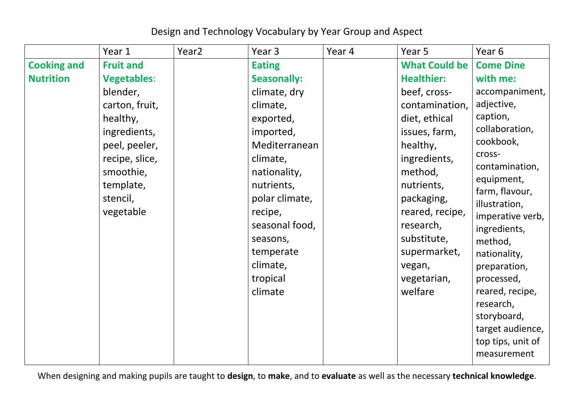## Design and Technology Vocabulary by Year Group and Aspect

|                    | Year 1             | Year <sub>2</sub> | Year 3             | Year 4 | Year 5               | Year 6                       |
|--------------------|--------------------|-------------------|--------------------|--------|----------------------|------------------------------|
| <b>Cooking and</b> | <b>Fruit and</b>   |                   | <b>Eating</b>      |        | <b>What Could be</b> | <b>Come Dine</b>             |
| <b>Nutrition</b>   | <b>Vegetables:</b> |                   | <b>Seasonally:</b> |        | <b>Healthier:</b>    | with me:                     |
|                    | blender,           |                   | climate, dry       |        | beef, cross-         | accompaniment,               |
|                    | carton, fruit,     |                   | climate,           |        | contamination,       | adjective,                   |
|                    | healthy,           |                   | exported,          |        | diet, ethical        | caption,                     |
|                    | ingredients,       |                   | imported,          |        | issues, farm,        | collaboration,               |
|                    | peel, peeler,      |                   | Mediterranean      |        | healthy,             | cookbook,                    |
|                    | recipe, slice,     |                   | climate,           |        | ingredients,         | cross-                       |
|                    | smoothie,          |                   | nationality,       |        | method,              | contamination,               |
|                    | template,          |                   | nutrients,         |        | nutrients,           | equipment,<br>farm, flavour, |
|                    | stencil,           |                   | polar climate,     |        | packaging,           | illustration,                |
|                    | vegetable          |                   | recipe,            |        | reared, recipe,      | imperative verb,             |
|                    |                    |                   | seasonal food,     |        | research,            | ingredients,                 |
|                    |                    |                   | seasons,           |        | substitute,          | method,                      |
|                    |                    |                   | temperate          |        | supermarket,         | nationality,                 |
|                    |                    |                   | climate,           |        | vegan,               | preparation,                 |
|                    |                    |                   | tropical           |        | vegetarian,          | processed,                   |
|                    |                    |                   | climate            |        | welfare              | reared, recipe,              |
|                    |                    |                   |                    |        |                      | research,                    |
|                    |                    |                   |                    |        |                      | storyboard,                  |
|                    |                    |                   |                    |        |                      | target audience,             |
|                    |                    |                   |                    |        |                      | top tips, unit of            |
|                    |                    |                   |                    |        |                      | measurement                  |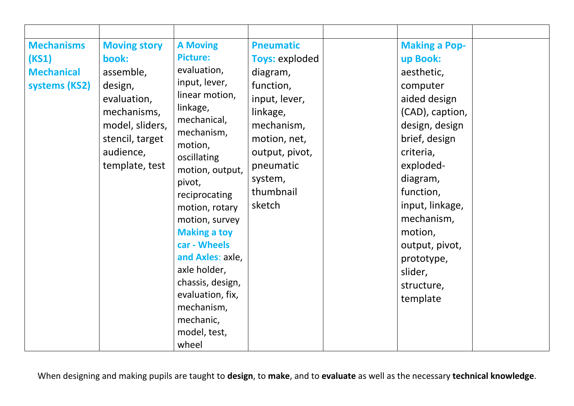| <b>Mechanisms</b><br>(KS1)<br><b>Mechanical</b><br>systems (KS2) | <b>Moving story</b><br>book:<br>assemble,<br>design,<br>evaluation,<br>mechanisms,<br>model, sliders,<br>stencil, target<br>audience,<br>template, test | <b>A Moving</b><br><b>Picture:</b><br>evaluation,<br>input, lever,<br>linear motion,<br>linkage,<br>mechanical,<br>mechanism,<br>motion,<br>oscillating<br>motion, output,<br>pivot,<br>reciprocating<br>motion, rotary<br>motion, survey<br><b>Making a toy</b><br>car - Wheels<br>and Axles: axle,<br>axle holder,<br>chassis, design,<br>evaluation, fix,<br>mechanism,<br>mechanic,<br>model, test,<br>wheel | <b>Pneumatic</b><br><b>Toys: exploded</b><br>diagram,<br>function,<br>input, lever,<br>linkage,<br>mechanism,<br>motion, net,<br>output, pivot,<br>pneumatic<br>system,<br>thumbnail<br>sketch | <b>Making a Pop-</b><br>up Book:<br>aesthetic,<br>computer<br>aided design<br>(CAD), caption,<br>design, design<br>brief, design<br>criteria,<br>exploded-<br>diagram,<br>function,<br>input, linkage,<br>mechanism,<br>motion,<br>output, pivot,<br>prototype,<br>slider,<br>structure,<br>template |  |
|------------------------------------------------------------------|---------------------------------------------------------------------------------------------------------------------------------------------------------|------------------------------------------------------------------------------------------------------------------------------------------------------------------------------------------------------------------------------------------------------------------------------------------------------------------------------------------------------------------------------------------------------------------|------------------------------------------------------------------------------------------------------------------------------------------------------------------------------------------------|------------------------------------------------------------------------------------------------------------------------------------------------------------------------------------------------------------------------------------------------------------------------------------------------------|--|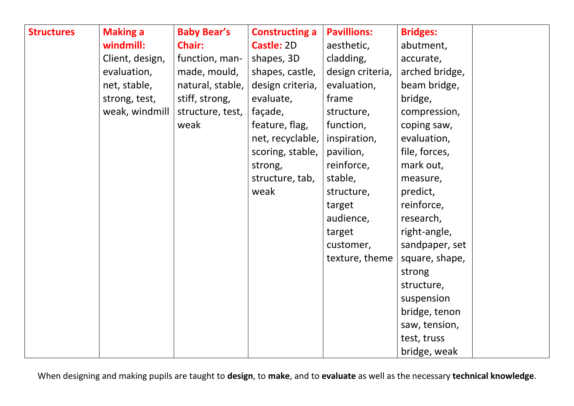| <b>Structures</b> | <b>Making a</b> | <b>Baby Bear's</b> | <b>Constructing a</b> | <b>Pavillions:</b> | <b>Bridges:</b> |
|-------------------|-----------------|--------------------|-----------------------|--------------------|-----------------|
|                   | windmill:       | <b>Chair:</b>      | Castle: 2D            | aesthetic,         | abutment,       |
|                   | Client, design, | function, man-     | shapes, 3D            | cladding,          | accurate,       |
|                   | evaluation,     | made, mould,       | shapes, castle,       | design criteria,   | arched bridge,  |
|                   | net, stable,    | natural, stable,   | design criteria,      | evaluation,        | beam bridge,    |
|                   | strong, test,   | stiff, strong,     | evaluate,             | frame              | bridge,         |
|                   | weak, windmill  | structure, test,   | façade,               | structure,         | compression,    |
|                   |                 | weak               | feature, flag,        | function,          | coping saw,     |
|                   |                 |                    | net, recyclable,      | inspiration,       | evaluation,     |
|                   |                 |                    | scoring, stable,      | pavilion,          | file, forces,   |
|                   |                 |                    | strong,               | reinforce,         | mark out,       |
|                   |                 |                    | structure, tab,       | stable,            | measure,        |
|                   |                 |                    | weak                  | structure,         | predict,        |
|                   |                 |                    |                       | target             | reinforce,      |
|                   |                 |                    |                       | audience,          | research,       |
|                   |                 |                    |                       | target             | right-angle,    |
|                   |                 |                    |                       | customer,          | sandpaper, set  |
|                   |                 |                    |                       | texture, theme     | square, shape,  |
|                   |                 |                    |                       |                    | strong          |
|                   |                 |                    |                       |                    | structure,      |
|                   |                 |                    |                       |                    | suspension      |
|                   |                 |                    |                       |                    | bridge, tenon   |
|                   |                 |                    |                       |                    | saw, tension,   |
|                   |                 |                    |                       |                    | test, truss     |
|                   |                 |                    |                       |                    | bridge, weak    |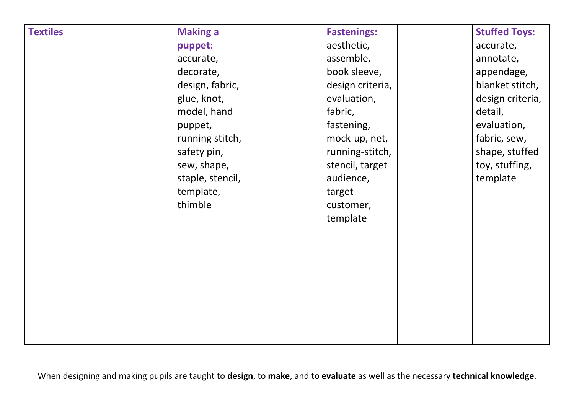| <b>Textiles</b> | <b>Making a</b>  | <b>Fastenings:</b> | <b>Stuffed Toys:</b> |
|-----------------|------------------|--------------------|----------------------|
|                 | puppet:          | aesthetic,         | accurate,            |
|                 | accurate,        | assemble,          | annotate,            |
|                 | decorate,        | book sleeve,       | appendage,           |
|                 | design, fabric,  | design criteria,   | blanket stitch,      |
|                 | glue, knot,      | evaluation,        | design criteria,     |
|                 | model, hand      | fabric,            | detail,              |
|                 | puppet,          | fastening,         | evaluation,          |
|                 | running stitch,  | mock-up, net,      | fabric, sew,         |
|                 | safety pin,      | running-stitch,    | shape, stuffed       |
|                 | sew, shape,      | stencil, target    | toy, stuffing,       |
|                 | staple, stencil, | audience,          | template             |
|                 | template,        | target             |                      |
|                 | thimble          | customer,          |                      |
|                 |                  | template           |                      |
|                 |                  |                    |                      |
|                 |                  |                    |                      |
|                 |                  |                    |                      |
|                 |                  |                    |                      |
|                 |                  |                    |                      |
|                 |                  |                    |                      |
|                 |                  |                    |                      |
|                 |                  |                    |                      |
|                 |                  |                    |                      |